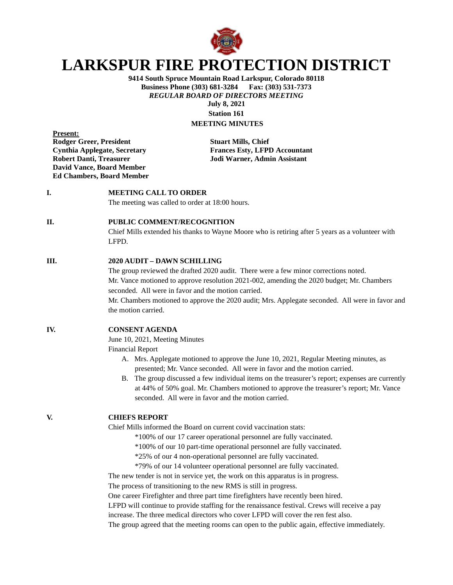

# **LARKSPUR FIRE PROTECTION DISTRICT**

**9414 South Spruce Mountain Road Larkspur, Colorado 80118 Business Phone (303) 681-3284** *REGULAR BOARD OF DIRECTORS MEETING* **July 8, 2021**

**Station 161 MEETING MINUTES**

**Present: Rodger Greer, President Stuart Mills, Chief David Vance, Board Member Ed Chambers, Board Member**

**Cynthia Applegate, Secretary Frances Esty, LFPD Accountant Robert Danti, Treasurer Jodi Warner, Admin Assistant**

# **I. MEETING CALL TO ORDER**

The meeting was called to order at 18:00 hours.

## **II. PUBLIC COMMENT/RECOGNITION**

Chief Mills extended his thanks to Wayne Moore who is retiring after 5 years as a volunteer with LFPD.

#### **III. 2020 AUDIT – DAWN SCHILLING**

The group reviewed the drafted 2020 audit. There were a few minor corrections noted. Mr. Vance motioned to approve resolution 2021-002, amending the 2020 budget; Mr. Chambers seconded. All were in favor and the motion carried. Mr. Chambers motioned to approve the 2020 audit; Mrs. Applegate seconded. All were in favor and the motion carried.

## **IV. CONSENT AGENDA**

June 10, 2021, Meeting Minutes

Financial Report

- A. Mrs. Applegate motioned to approve the June 10, 2021, Regular Meeting minutes, as presented; Mr. Vance seconded. All were in favor and the motion carried.
- B. The group discussed a few individual items on the treasurer's report; expenses are currently at 44% of 50% goal. Mr. Chambers motioned to approve the treasurer's report; Mr. Vance seconded. All were in favor and the motion carried.

## **V. CHIEFS REPORT**

Chief Mills informed the Board on current covid vaccination stats:

- \*100% of our 17 career operational personnel are fully vaccinated.
- \*100% of our 10 part-time operational personnel are fully vaccinated.
- \*25% of our 4 non-operational personnel are fully vaccinated.
- \*79% of our 14 volunteer operational personnel are fully vaccinated.

The new tender is not in service yet, the work on this apparatus is in progress.

The process of transitioning to the new RMS is still in progress.

One career Firefighter and three part time firefighters have recently been hired.

LFPD will continue to provide staffing for the renaissance festival. Crews will receive a pay

increase. The three medical directors who cover LFPD will cover the ren fest also.

The group agreed that the meeting rooms can open to the public again, effective immediately.